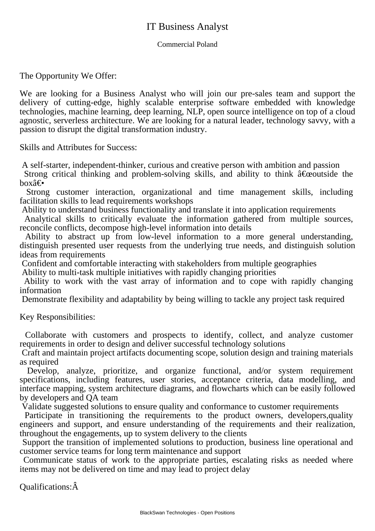## IT Business Analyst

## Commercial Poland

The Opportunity We Offer:

We are looking for a Business Analyst who will join our pre-sales team and support the delivery of cutting-edge, highly scalable enterprise software embedded with knowledge technologies, machine learning, deep learning, NLP, open source intelligence on top of a cloud agnostic, serverless architecture. We are looking for a natural leader, technology savvy, with a passion to disrupt the digital transformation industry.

Skills and Attributes for Success:

 A self-starter, independent-thinker, curious and creative person with ambition and passion

Strong critical thinking and problem-solving skills, and ability to think  $\hat{a} \in \hat{c}$  equals the  $box\hat{\mathbf{e}}\in$ 

 Strong customer interaction, organizational and time management skills, including facilitation skills to lead requirements workshops

 Ability to understand business functionality and translate it into application requirements

 Analytical skills to critically evaluate the information gathered from multiple sources, reconcile conflicts, decompose high-level information into details

 Ability to abstract up from low-level information to a more general understanding, distinguish presented user requests from the underlying true needs, and distinguish solution ideas from requirements

 Confident and comfortable interacting with stakeholders from multiple geographies

 Ability to multi-task multiple initiatives with rapidly changing priorities

 Ability to work with the vast array of information and to cope with rapidly changing information

 Demonstrate flexibility and adaptability by being willing to tackle any project task required

Key Responsibilities:

 Collaborate with customers and prospects to identify, collect, and analyze customer requirements in order to design and deliver successful technology solutions

 Craft and maintain project artifacts documenting scope, solution design and training materials as required

Develop, analyze, prioritize, and organize functional, and/or system requirement specifications, including features, user stories, acceptance criteria, data modelling, and interface mapping, system architecture diagrams, and flowcharts which can be easily followed by developers and QA team

 Validate suggested solutions to ensure quality and conformance to customer requirements

 Participate in transitioning the requirements to the product owners, developers,quality engineers and support, and ensure understanding of the requirements and their realization, throughout the engagements, up to system delivery to the clients

 Support the transition of implemented solutions to production, business line operational and customer service teams for long term maintenance and support

 Communicate status of work to the appropriate parties, escalating risks as needed where items may not be delivered on time and may lead to project delay

Qualifications:Â